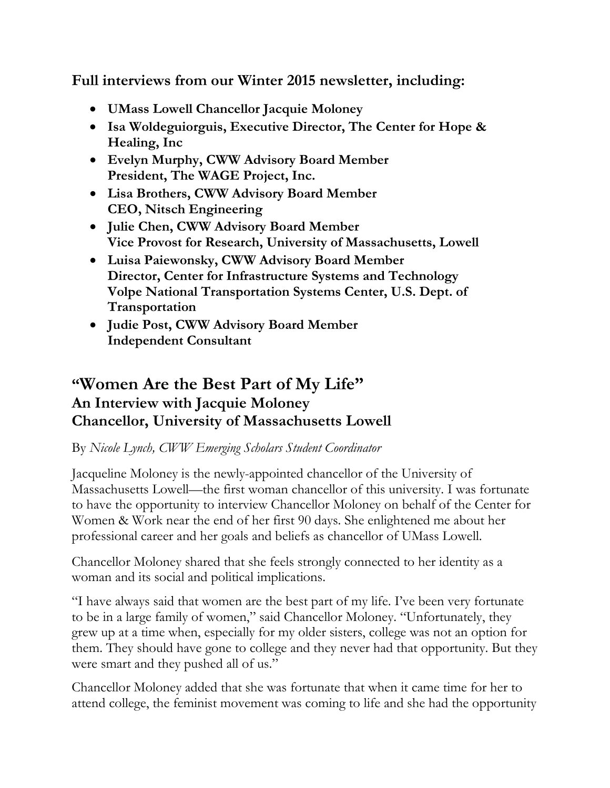**Full interviews from our Winter 2015 newsletter, including:**

- **UMass Lowell Chancellor Jacquie Moloney**
- **Isa Woldeguiorguis, Executive Director, The Center for Hope & Healing, Inc**
- **Evelyn Murphy, CWW Advisory Board Member President, The WAGE Project, Inc.**
- **Lisa Brothers, CWW Advisory Board Member CEO, Nitsch Engineering**
- **Julie Chen, CWW Advisory Board Member Vice Provost for Research, University of Massachusetts, Lowell**
- **Luisa Paiewonsky, CWW Advisory Board Member Director, Center for Infrastructure Systems and Technology Volpe National Transportation Systems Center, U.S. Dept. of Transportation**
- **Judie Post, CWW Advisory Board Member Independent Consultant**

# **"Women Are the Best Part of My Life" An Interview with Jacquie Moloney Chancellor, University of Massachusetts Lowell**

### By *Nicole Lynch, CWW Emerging Scholars Student Coordinator*

Jacqueline Moloney is the newly-appointed chancellor of the University of Massachusetts Lowell—the first woman chancellor of this university. I was fortunate to have the opportunity to interview Chancellor Moloney on behalf of the Center for Women & Work near the end of her first 90 days. She enlightened me about her professional career and her goals and beliefs as chancellor of UMass Lowell.

Chancellor Moloney shared that she feels strongly connected to her identity as a woman and its social and political implications.

"I have always said that women are the best part of my life. I've been very fortunate to be in a large family of women," said Chancellor Moloney. "Unfortunately, they grew up at a time when, especially for my older sisters, college was not an option for them. They should have gone to college and they never had that opportunity. But they were smart and they pushed all of us."

Chancellor Moloney added that she was fortunate that when it came time for her to attend college, the feminist movement was coming to life and she had the opportunity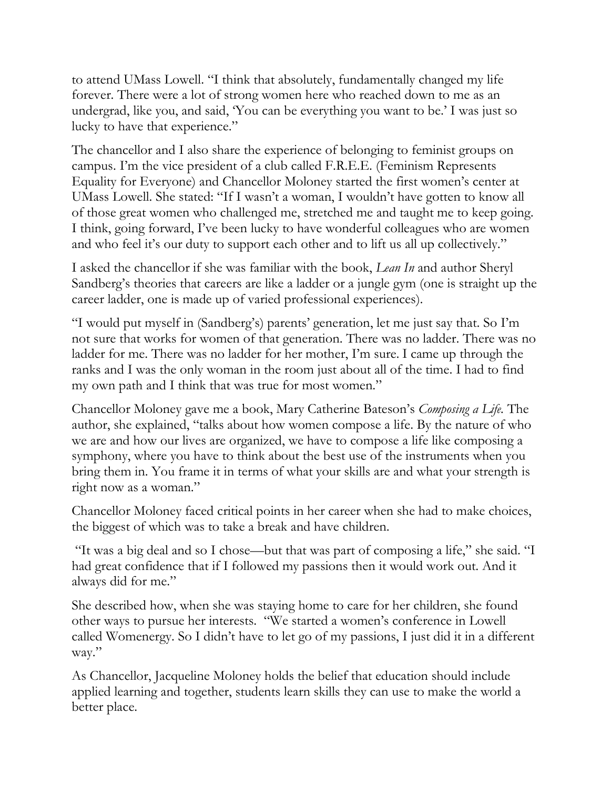to attend UMass Lowell. "I think that absolutely, fundamentally changed my life forever. There were a lot of strong women here who reached down to me as an undergrad, like you, and said, 'You can be everything you want to be.' I was just so lucky to have that experience."

The chancellor and I also share the experience of belonging to feminist groups on campus. I'm the vice president of a club called F.R.E.E. (Feminism Represents Equality for Everyone) and Chancellor Moloney started the first women's center at UMass Lowell. She stated: "If I wasn't a woman, I wouldn't have gotten to know all of those great women who challenged me, stretched me and taught me to keep going. I think, going forward, I've been lucky to have wonderful colleagues who are women and who feel it's our duty to support each other and to lift us all up collectively."

I asked the chancellor if she was familiar with the book, *Lean In* and author Sheryl Sandberg's theories that careers are like a ladder or a jungle gym (one is straight up the career ladder, one is made up of varied professional experiences).

"I would put myself in (Sandberg's) parents' generation, let me just say that. So I'm not sure that works for women of that generation. There was no ladder. There was no ladder for me. There was no ladder for her mother, I'm sure. I came up through the ranks and I was the only woman in the room just about all of the time. I had to find my own path and I think that was true for most women."

Chancellor Moloney gave me a book, Mary Catherine Bateson's *Composing a Life.* The author, she explained, "talks about how women compose a life. By the nature of who we are and how our lives are organized, we have to compose a life like composing a symphony, where you have to think about the best use of the instruments when you bring them in. You frame it in terms of what your skills are and what your strength is right now as a woman."

Chancellor Moloney faced critical points in her career when she had to make choices, the biggest of which was to take a break and have children.

"It was a big deal and so I chose—but that was part of composing a life," she said. "I had great confidence that if I followed my passions then it would work out. And it always did for me."

She described how, when she was staying home to care for her children, she found other ways to pursue her interests. "We started a women's conference in Lowell called Womenergy. So I didn't have to let go of my passions, I just did it in a different way."

As Chancellor, Jacqueline Moloney holds the belief that education should include applied learning and together, students learn skills they can use to make the world a better place.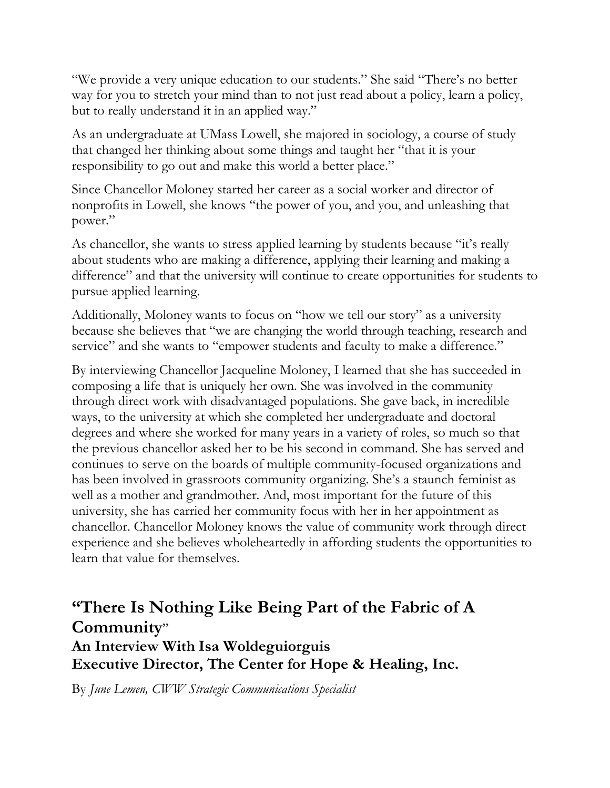"We provide a very unique education to our students." She said "There's no better way for you to stretch your mind than to not just read about a policy, learn a policy, but to really understand it in an applied way."

As an undergraduate at UMass Lowell, she majored in sociology, a course of study that changed her thinking about some things and taught her "that it is your responsibility to go out and make this world a better place."

Since Chancellor Moloney started her career as a social worker and director of nonprofits in Lowell, she knows "the power of you, and you, and unleashing that power."

As chancellor, she wants to stress applied learning by students because "it's really about students who are making a difference, applying their learning and making a difference" and that the university will continue to create opportunities for students to pursue applied learning.

Additionally, Moloney wants to focus on "how we tell our story" as a university because she believes that "we are changing the world through teaching, research and service" and she wants to "empower students and faculty to make a difference."

By interviewing Chancellor Jacqueline Moloney, I learned that she has succeeded in composing a life that is uniquely her own. She was involved in the community through direct work with disadvantaged populations. She gave back, in incredible ways, to the university at which she completed her undergraduate and doctoral degrees and where she worked for many years in a variety of roles, so much so that the previous chancellor asked her to be his second in command. She has served and continues to serve on the boards of multiple community-focused organizations and has been involved in grassroots community organizing. She's a staunch feminist as well as a mother and grandmother. And, most important for the future of this university, she has carried her community focus with her in her appointment as chancellor. Chancellor Moloney knows the value of community work through direct experience and she believes wholeheartedly in affording students the opportunities to learn that value for themselves.

# **"There Is Nothing Like Being Part of the Fabric of A Community**"

**An Interview With Isa Woldeguiorguis Executive Director, The Center for Hope & Healing, Inc.**

By *June Lemen, CWW Strategic Communications Specialist*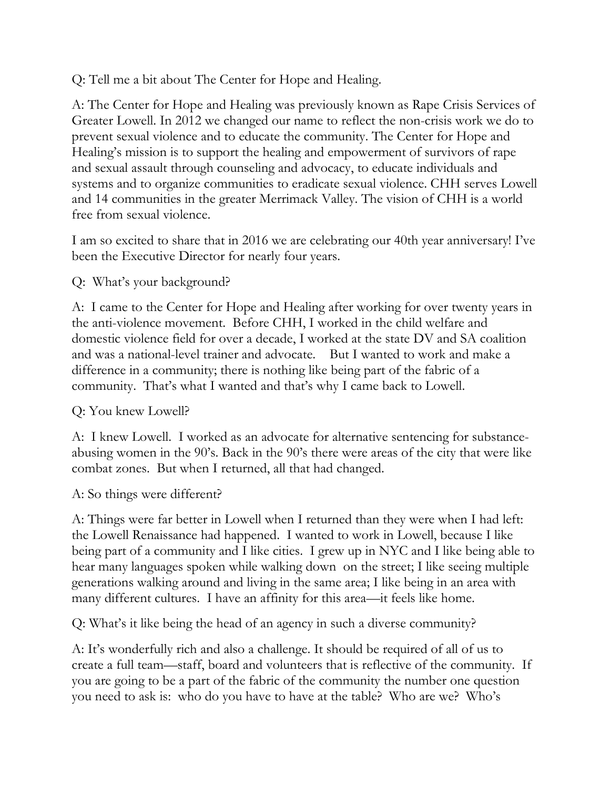### Q: Tell me a bit about The Center for Hope and Healing.

A: The Center for Hope and Healing was previously known as Rape Crisis Services of Greater Lowell. In 2012 we changed our name to reflect the non-crisis work we do to prevent sexual violence and to educate the community. The Center for Hope and Healing's mission is to support the healing and empowerment of survivors of rape and sexual assault through counseling and advocacy, to educate individuals and systems and to organize communities to eradicate sexual violence. CHH serves Lowell and 14 communities in the greater Merrimack Valley. The vision of CHH is a world free from sexual violence.

I am so excited to share that in 2016 we are celebrating our 40th year anniversary! I've been the Executive Director for nearly four years.

### Q: What's your background?

A: I came to the Center for Hope and Healing after working for over twenty years in the anti-violence movement. Before CHH, I worked in the child welfare and domestic violence field for over a decade, I worked at the state DV and SA coalition and was a national-level trainer and advocate. But I wanted to work and make a difference in a community; there is nothing like being part of the fabric of a community. That's what I wanted and that's why I came back to Lowell.

### Q: You knew Lowell?

A: I knew Lowell. I worked as an advocate for alternative sentencing for substanceabusing women in the 90's. Back in the 90's there were areas of the city that were like combat zones. But when I returned, all that had changed.

### A: So things were different?

A: Things were far better in Lowell when I returned than they were when I had left: the Lowell Renaissance had happened. I wanted to work in Lowell, because I like being part of a community and I like cities. I grew up in NYC and I like being able to hear many languages spoken while walking down on the street; I like seeing multiple generations walking around and living in the same area; I like being in an area with many different cultures. I have an affinity for this area—it feels like home.

Q: What's it like being the head of an agency in such a diverse community?

A: It's wonderfully rich and also a challenge. It should be required of all of us to create a full team—staff, board and volunteers that is reflective of the community. If you are going to be a part of the fabric of the community the number one question you need to ask is: who do you have to have at the table? Who are we? Who's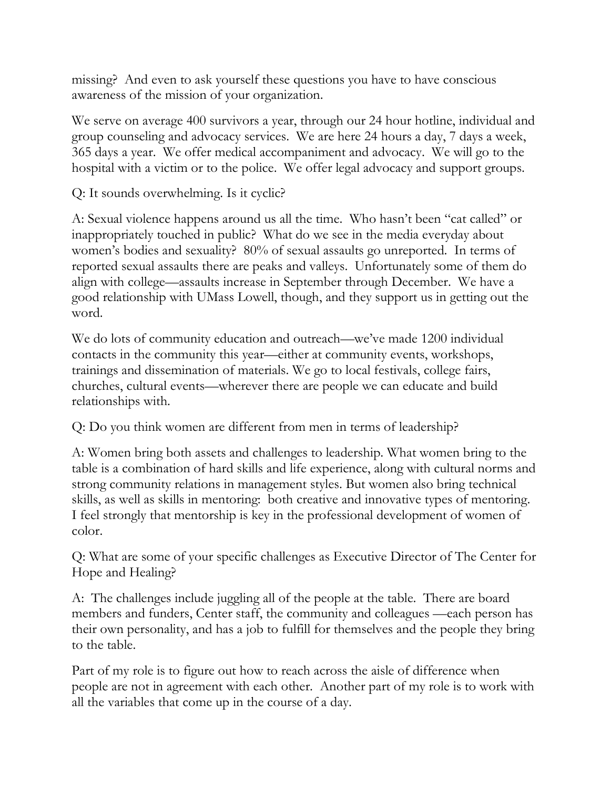missing? And even to ask yourself these questions you have to have conscious awareness of the mission of your organization.

We serve on average 400 survivors a year, through our 24 hour hotline, individual and group counseling and advocacy services. We are here 24 hours a day, 7 days a week, 365 days a year. We offer medical accompaniment and advocacy. We will go to the hospital with a victim or to the police. We offer legal advocacy and support groups.

Q: It sounds overwhelming. Is it cyclic?

A: Sexual violence happens around us all the time. Who hasn't been "cat called" or inappropriately touched in public? What do we see in the media everyday about women's bodies and sexuality? 80% of sexual assaults go unreported. In terms of reported sexual assaults there are peaks and valleys. Unfortunately some of them do align with college—assaults increase in September through December. We have a good relationship with UMass Lowell, though, and they support us in getting out the word.

We do lots of community education and outreach—we've made 1200 individual contacts in the community this year—either at community events, workshops, trainings and dissemination of materials. We go to local festivals, college fairs, churches, cultural events—wherever there are people we can educate and build relationships with.

Q: Do you think women are different from men in terms of leadership?

A: Women bring both assets and challenges to leadership. What women bring to the table is a combination of hard skills and life experience, along with cultural norms and strong community relations in management styles. But women also bring technical skills, as well as skills in mentoring: both creative and innovative types of mentoring. I feel strongly that mentorship is key in the professional development of women of color.

Q: What are some of your specific challenges as Executive Director of The Center for Hope and Healing?

A: The challenges include juggling all of the people at the table. There are board members and funders, Center staff, the community and colleagues —each person has their own personality, and has a job to fulfill for themselves and the people they bring to the table.

Part of my role is to figure out how to reach across the aisle of difference when people are not in agreement with each other. Another part of my role is to work with all the variables that come up in the course of a day.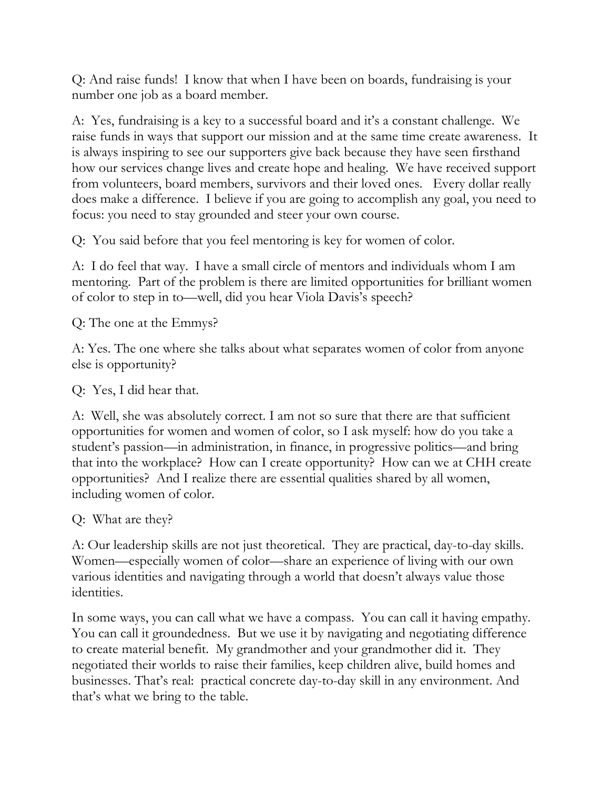Q: And raise funds! I know that when I have been on boards, fundraising is your number one job as a board member.

A: Yes, fundraising is a key to a successful board and it's a constant challenge. We raise funds in ways that support our mission and at the same time create awareness. It is always inspiring to see our supporters give back because they have seen firsthand how our services change lives and create hope and healing. We have received support from volunteers, board members, survivors and their loved ones. Every dollar really does make a difference. I believe if you are going to accomplish any goal, you need to focus: you need to stay grounded and steer your own course.

Q: You said before that you feel mentoring is key for women of color.

A: I do feel that way. I have a small circle of mentors and individuals whom I am mentoring. Part of the problem is there are limited opportunities for brilliant women of color to step in to—well, did you hear Viola Davis's speech?

Q: The one at the Emmys?

A: Yes. The one where she talks about what separates women of color from anyone else is opportunity?

Q: Yes, I did hear that.

A: Well, she was absolutely correct. I am not so sure that there are that sufficient opportunities for women and women of color, so I ask myself: how do you take a student's passion—in administration, in finance, in progressive politics—and bring that into the workplace? How can I create opportunity? How can we at CHH create opportunities? And I realize there are essential qualities shared by all women, including women of color.

Q: What are they?

A: Our leadership skills are not just theoretical. They are practical, day-to-day skills. Women—especially women of color—share an experience of living with our own various identities and navigating through a world that doesn't always value those identities.

In some ways, you can call what we have a compass. You can call it having empathy. You can call it groundedness. But we use it by navigating and negotiating difference to create material benefit. My grandmother and your grandmother did it. They negotiated their worlds to raise their families, keep children alive, build homes and businesses. That's real: practical concrete day-to-day skill in any environment. And that's what we bring to the table.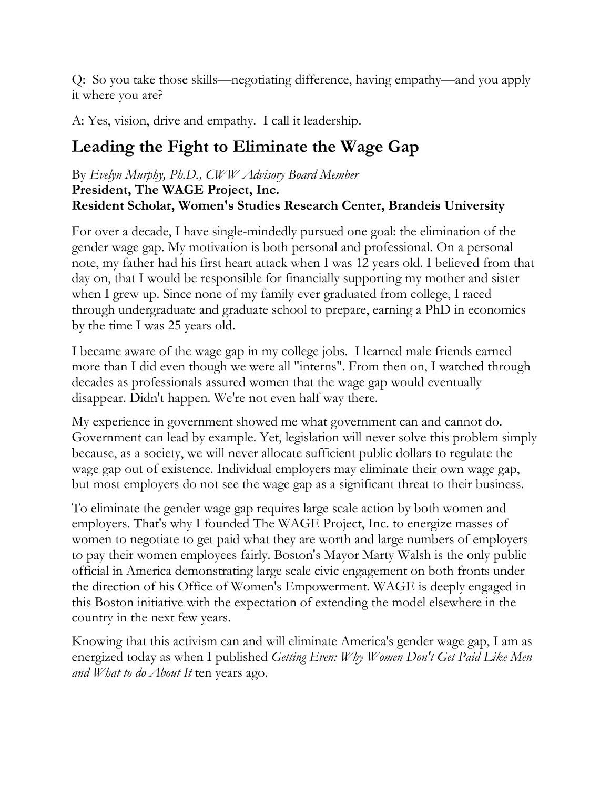Q: So you take those skills—negotiating difference, having empathy—and you apply it where you are?

A: Yes, vision, drive and empathy. I call it leadership.

# **Leading the Fight to Eliminate the Wage Gap**

#### By *Evelyn Murphy, Ph.D., CWW Advisory Board Member* **President, The WAGE Project, Inc. Resident Scholar, Women's Studies Research Center, Brandeis University**

For over a decade, I have single-mindedly pursued one goal: the elimination of the gender wage gap. My motivation is both personal and professional. On a personal note, my father had his first heart attack when I was 12 years old. I believed from that day on, that I would be responsible for financially supporting my mother and sister when I grew up. Since none of my family ever graduated from college, I raced through undergraduate and graduate school to prepare, earning a PhD in economics by the time I was 25 years old.

I became aware of the wage gap in my college jobs. I learned male friends earned more than I did even though we were all "interns". From then on, I watched through decades as professionals assured women that the wage gap would eventually disappear. Didn't happen. We're not even half way there.

My experience in government showed me what government can and cannot do. Government can lead by example. Yet, legislation will never solve this problem simply because, as a society, we will never allocate sufficient public dollars to regulate the wage gap out of existence. Individual employers may eliminate their own wage gap, but most employers do not see the wage gap as a significant threat to their business.

To eliminate the gender wage gap requires large scale action by both women and employers. That's why I founded The WAGE Project, Inc. to energize masses of women to negotiate to get paid what they are worth and large numbers of employers to pay their women employees fairly. Boston's Mayor Marty Walsh is the only public official in America demonstrating large scale civic engagement on both fronts under the direction of his Office of Women's Empowerment. WAGE is deeply engaged in this Boston initiative with the expectation of extending the model elsewhere in the country in the next few years.

Knowing that this activism can and will eliminate America's gender wage gap, I am as energized today as when I published *Getting Even: Why Women Don't Get Paid Like Men and What to do About It* ten years ago.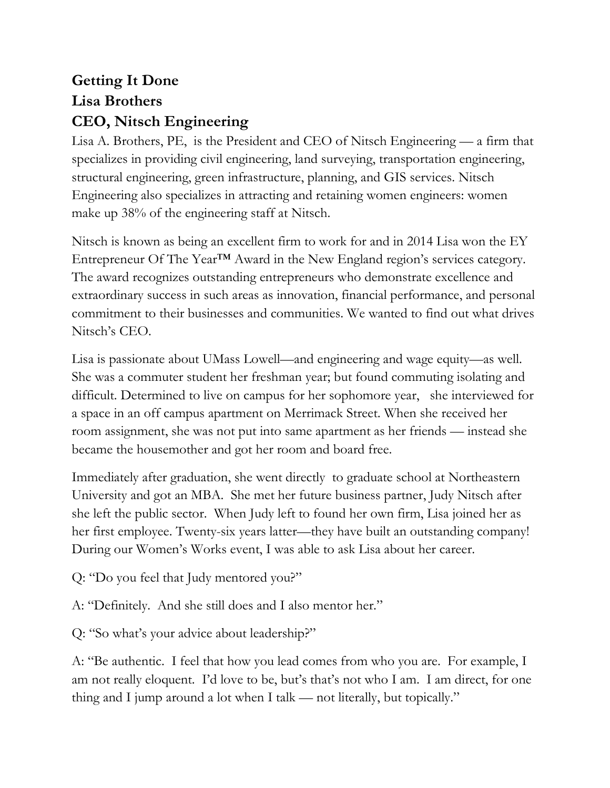# **Getting It Done Lisa Brothers CEO, Nitsch Engineering**

Lisa A. Brothers, PE, is the President and CEO of Nitsch Engineering — a firm that specializes in providing civil engineering, land surveying, transportation engineering, structural engineering, green infrastructure, planning, and GIS services. Nitsch Engineering also specializes in attracting and retaining women engineers: women make up 38% of the engineering staff at Nitsch.

Nitsch is known as being an excellent firm to work for and in 2014 Lisa won the EY Entrepreneur Of The Year™ Award in the New England region's services category. The award recognizes outstanding entrepreneurs who demonstrate excellence and extraordinary success in such areas as innovation, financial performance, and personal commitment to their businesses and communities. We wanted to find out what drives Nitsch's CEO.

Lisa is passionate about UMass Lowell—and engineering and wage equity—as well. She was a commuter student her freshman year; but found commuting isolating and difficult. Determined to live on campus for her sophomore year, she interviewed for a space in an off campus apartment on Merrimack Street. When she received her room assignment, she was not put into same apartment as her friends — instead she became the housemother and got her room and board free.

Immediately after graduation, she went directly to graduate school at Northeastern University and got an MBA. She met her future business partner, Judy Nitsch after she left the public sector. When Judy left to found her own firm, Lisa joined her as her first employee. Twenty-six years latter—they have built an outstanding company! During our Women's Works event, I was able to ask Lisa about her career.

Q: "Do you feel that Judy mentored you?"

A: "Definitely. And she still does and I also mentor her."

Q: "So what's your advice about leadership?"

A: "Be authentic. I feel that how you lead comes from who you are. For example, I am not really eloquent. I'd love to be, but's that's not who I am. I am direct, for one thing and I jump around a lot when I talk — not literally, but topically."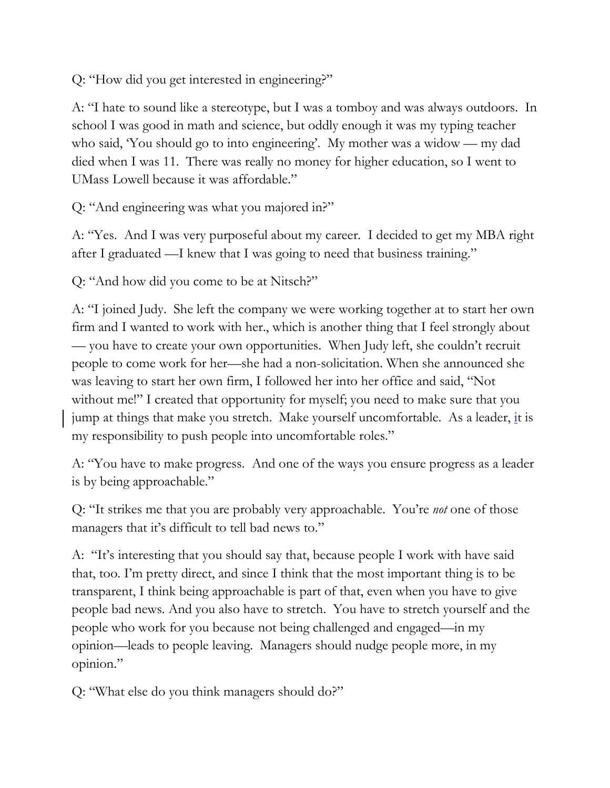Q: "How did you get interested in engineering?"

A: "I hate to sound like a stereotype, but I was a tomboy and was always outdoors. In school I was good in math and science, but oddly enough it was my typing teacher who said, 'You should go to into engineering'. My mother was a widow — my dad died when I was 11. There was really no money for higher education, so I went to UMass Lowell because it was affordable."

Q: "And engineering was what you majored in?"

A: "Yes. And I was very purposeful about my career. I decided to get my MBA right after I graduated —I knew that I was going to need that business training."

Q: "And how did you come to be at Nitsch?"

A: "I joined Judy. She left the company we were working together at to start her own firm and I wanted to work with her., which is another thing that I feel strongly about — you have to create your own opportunities. When Judy left, she couldn't recruit people to come work for her—she had a non-solicitation. When she announced she was leaving to start her own firm, I followed her into her office and said, "Not without me!" I created that opportunity for myself; you need to make sure that you jump at things that make you stretch. Make yourself uncomfortable. As a leader,  $\frac{1}{2}t$  is my responsibility to push people into uncomfortable roles."

A: "You have to make progress. And one of the ways you ensure progress as a leader is by being approachable."

Q: "It strikes me that you are probably very approachable. You're *not* one of those managers that it's difficult to tell bad news to."

A: "It's interesting that you should say that, because people I work with have said that, too. I'm pretty direct, and since I think that the most important thing is to be transparent, I think being approachable is part of that, even when you have to give people bad news. And you also have to stretch. You have to stretch yourself and the people who work for you because not being challenged and engaged—in my opinion—leads to people leaving. Managers should nudge people more, in my opinion."

Q: "What else do you think managers should do?"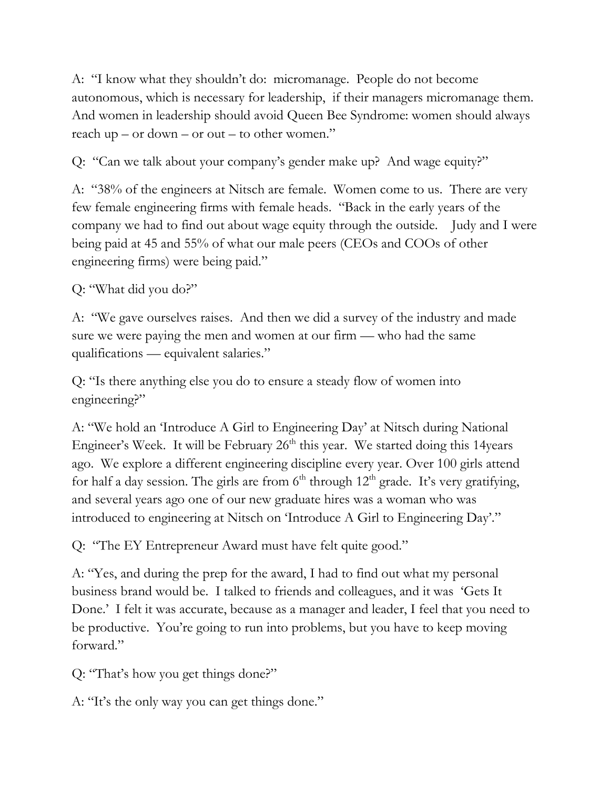A: "I know what they shouldn't do: micromanage. People do not become autonomous, which is necessary for leadership, if their managers micromanage them. And women in leadership should avoid Queen Bee Syndrome: women should always reach up – or down – or out – to other women."

Q: "Can we talk about your company's gender make up? And wage equity?"

A: "38% of the engineers at Nitsch are female. Women come to us. There are very few female engineering firms with female heads. "Back in the early years of the company we had to find out about wage equity through the outside. Judy and I were being paid at 45 and 55% of what our male peers (CEOs and COOs of other engineering firms) were being paid."

### Q: "What did you do?"

A: "We gave ourselves raises. And then we did a survey of the industry and made sure we were paying the men and women at our firm — who had the same qualifications — equivalent salaries."

Q: "Is there anything else you do to ensure a steady flow of women into engineering?"

A: "We hold an 'Introduce A Girl to Engineering Day' at Nitsch during National Engineer's Week. It will be February  $26<sup>th</sup>$  this year. We started doing this 14years ago. We explore a different engineering discipline every year. Over 100 girls attend for half a day session. The girls are from  $6<sup>th</sup>$  through  $12<sup>th</sup>$  grade. It's very gratifying, and several years ago one of our new graduate hires was a woman who was introduced to engineering at Nitsch on 'Introduce A Girl to Engineering Day'."

Q: "The EY Entrepreneur Award must have felt quite good."

A: "Yes, and during the prep for the award, I had to find out what my personal business brand would be. I talked to friends and colleagues, and it was 'Gets It Done.' I felt it was accurate, because as a manager and leader, I feel that you need to be productive. You're going to run into problems, but you have to keep moving forward."

Q: "That's how you get things done?"

A: "It's the only way you can get things done."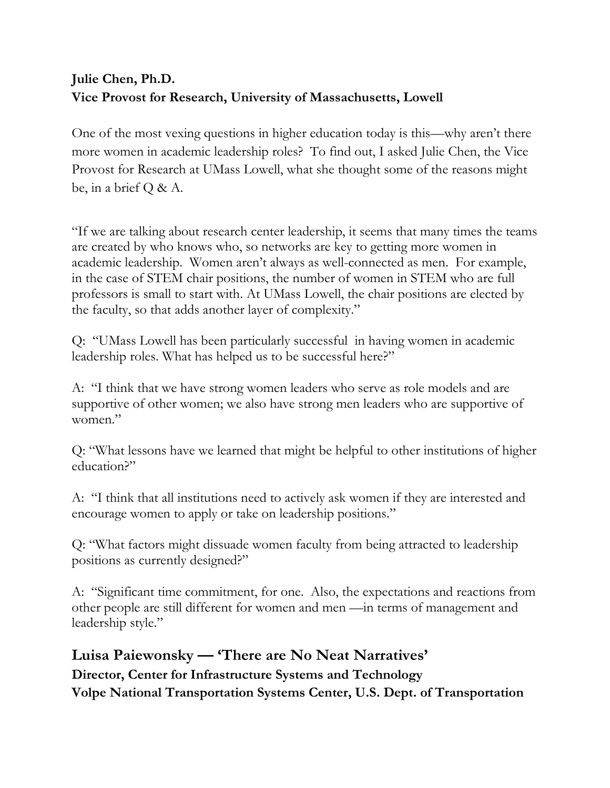## **Julie Chen, Ph.D. Vice Provost for Research, University of Massachusetts, Lowell**

One of the most vexing questions in higher education today is this—why aren't there more women in academic leadership roles? To find out, I asked Julie Chen, the Vice Provost for Research at UMass Lowell, what she thought some of the reasons might be, in a brief  $Q \& A$ .

"If we are talking about research center leadership, it seems that many times the teams are created by who knows who, so networks are key to getting more women in academic leadership. Women aren't always as well-connected as men. For example, in the case of STEM chair positions, the number of women in STEM who are full professors is small to start with. At UMass Lowell, the chair positions are elected by the faculty, so that adds another layer of complexity."

Q: "UMass Lowell has been particularly successful in having women in academic leadership roles. What has helped us to be successful here?"

A: "I think that we have strong women leaders who serve as role models and are supportive of other women; we also have strong men leaders who are supportive of women."

Q: "What lessons have we learned that might be helpful to other institutions of higher education?"

A: "I think that all institutions need to actively ask women if they are interested and encourage women to apply or take on leadership positions."

Q: "What factors might dissuade women faculty from being attracted to leadership positions as currently designed?"

A: "Significant time commitment, for one. Also, the expectations and reactions from other people are still different for women and men —in terms of management and leadership style."

**Luisa Paiewonsky — 'There are No Neat Narratives' Director, Center for Infrastructure Systems and Technology Volpe National Transportation Systems Center, U.S. Dept. of Transportation**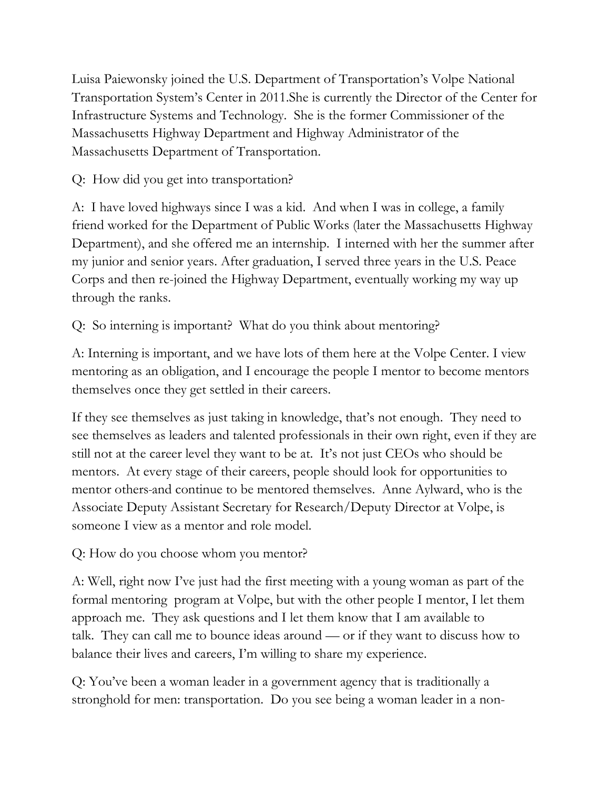Luisa Paiewonsky joined the U.S. Department of Transportation's Volpe National Transportation System's Center in 2011.She is currently the Director of the Center for Infrastructure Systems and Technology. She is the former Commissioner of the Massachusetts Highway Department and Highway Administrator of the Massachusetts Department of Transportation.

Q: How did you get into transportation?

A: I have loved highways since I was a kid. And when I was in college, a family friend worked for the Department of Public Works (later the Massachusetts Highway Department), and she offered me an internship. I interned with her the summer after my junior and senior years. After graduation, I served three years in the U.S. Peace Corps and then re-joined the Highway Department, eventually working my way up through the ranks.

Q: So interning is important? What do you think about mentoring?

A: Interning is important, and we have lots of them here at the Volpe Center. I view mentoring as an obligation, and I encourage the people I mentor to become mentors themselves once they get settled in their careers.

If they see themselves as just taking in knowledge, that's not enough. They need to see themselves as leaders and talented professionals in their own right, even if they are still not at the career level they want to be at. It's not just CEOs who should be mentors. At every stage of their careers, people should look for opportunities to mentor others and continue to be mentored themselves. Anne Aylward, who is the Associate Deputy Assistant Secretary for Research/Deputy Director at Volpe, is someone I view as a mentor and role model.

Q: How do you choose whom you mentor?

A: Well, right now I've just had the first meeting with a young woman as part of the formal mentoring program at Volpe, but with the other people I mentor, I let them approach me. They ask questions and I let them know that I am available to talk. They can call me to bounce ideas around — or if they want to discuss how to balance their lives and careers, I'm willing to share my experience.

Q: You've been a woman leader in a government agency that is traditionally a stronghold for men: transportation. Do you see being a woman leader in a non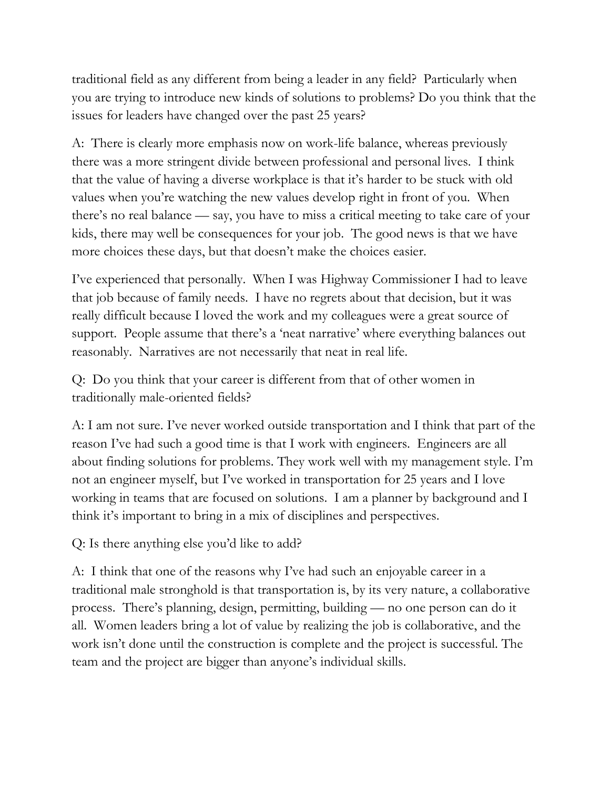traditional field as any different from being a leader in any field? Particularly when you are trying to introduce new kinds of solutions to problems? Do you think that the issues for leaders have changed over the past 25 years?

A: There is clearly more emphasis now on work-life balance, whereas previously there was a more stringent divide between professional and personal lives. I think that the value of having a diverse workplace is that it's harder to be stuck with old values when you're watching the new values develop right in front of you. When there's no real balance — say, you have to miss a critical meeting to take care of your kids, there may well be consequences for your job. The good news is that we have more choices these days, but that doesn't make the choices easier.

I've experienced that personally. When I was Highway Commissioner I had to leave that job because of family needs. I have no regrets about that decision, but it was really difficult because I loved the work and my colleagues were a great source of support. People assume that there's a 'neat narrative' where everything balances out reasonably. Narratives are not necessarily that neat in real life.

Q: Do you think that your career is different from that of other women in traditionally male-oriented fields?

A: I am not sure. I've never worked outside transportation and I think that part of the reason I've had such a good time is that I work with engineers. Engineers are all about finding solutions for problems. They work well with my management style. I'm not an engineer myself, but I've worked in transportation for 25 years and I love working in teams that are focused on solutions. I am a planner by background and I think it's important to bring in a mix of disciplines and perspectives.

Q: Is there anything else you'd like to add?

A: I think that one of the reasons why I've had such an enjoyable career in a traditional male stronghold is that transportation is, by its very nature, a collaborative process. There's planning, design, permitting, building — no one person can do it all. Women leaders bring a lot of value by realizing the job is collaborative, and the work isn't done until the construction is complete and the project is successful. The team and the project are bigger than anyone's individual skills.